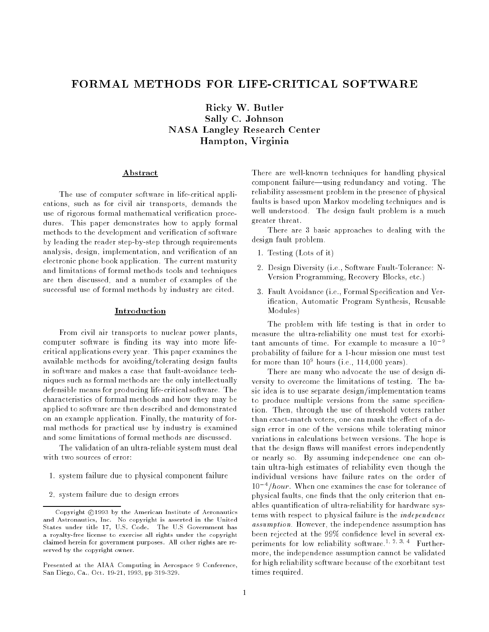# FORMAL METHODS FOR LIFE-CRITICAL SOFTWARE

Ricky W. Butler Sally C. Johnson NASA Langley Research Center Hampton, Virginia

## Abstract

The use of computer software in life-critical applications, such as for civil air transports, demands the use of rigorous formal mathematical verification procedures. This paper demonstrates how to apply formal methods to the development and verification of software by leading the reader step-by-step through requirements analysis, design, implementation, and verification of an electronic phone book application. The current maturity and limitations of formal methods tools and techniques are then discussed, and a number of examples of the successful use of formal methods by industry are cited.

## Introduction

From civil air transports to nuclear power plants, computer software is finding its way into more lifecritical applications every year. This paper examines the available methods for avoiding/tolerating design faults in software and makes a case that fault-avoidance techniques such as formal methods are the only intellectually defensible means for producing life-critical software. The characteristics of formal methods and how they may be applied to software are then described and demonstrated on an example application. Finally, the maturity of formal methods for practical use by industry is examined and some limitations of formal methods are discussed.

The validation of an ultra-reliable system must deal with two sources of error:

- 1. system failure due to physical component failure
- 2. system failure due to design errors

There are well-known techniques for handling physical component failure—using redundancy and voting. The reliability assessment problem in the presence of physical faults is based upon Markov modeling techniques and is well understood. The design fault problem is a much greater threat.

There are 3 basic approaches to dealing with the design fault problem.

- 1. Testing (Lots of it)
- 2. Design Diversity (i.e., Software Fault-Tolerance: N-Version Programming, Recovery Blocks, etc.)
- 3. Fault Avoidance (i.e., Formal Specication and Verification, Automatic Program Synthesis, Reusable Modules)

The problem with life testing is that in order to measure the ultra-reliability one must test for exorbitant amounts of time. For example to measure a  $10^{-9}$ probability of failure for a 1-hour mission one must test for more than 10<sup>9</sup> hours (i.e., 114,000 years).

There are many who advocate the use of design diversity to overcome the limitations of testing. The basic idea is to use separate design/implementation teams to produce multiple versions from the same specification. Then, through the use of threshold voters rather than exact-match voters, one can mask the effect of a design error in one of the versions while tolerating minor variations in calculations between versions. The hope is that the design flaws will manifest errors independently or nearly so. By assuming independence one can obtain ultra-high estimates of reliability even though the individual versions have failure rates on the order of 10 *Thour*. When one examines the case for tolerance of physical faults, one finds that the only criterion that enables quantication of ultra-reliability for hardware systems with respect to physical failure is the independence assumption. However, the independence assumption has been rejected at the 99% confidence level in several experiments for low reliability software.<sup>1, 2, 3, 4</sup> Furthermore, the independence assumption cannot be validated for high reliability software because of the exorbitant test times required.

Copyright @1993 by the American Institute of Aeronautics and Astronautics, Inc. No copyright is asserted in the United States under title 17, U.S. Code. The U.S Government has a royalty-free license to exercise all rights under the copyright claimed herein for government purposes. All other rights are reserved by the copyright owner.

Presented at the AIAA Computing in Aerospace 9 Conference, San Diego, Ca., Oct. 19-21, 1993, pp 319-329.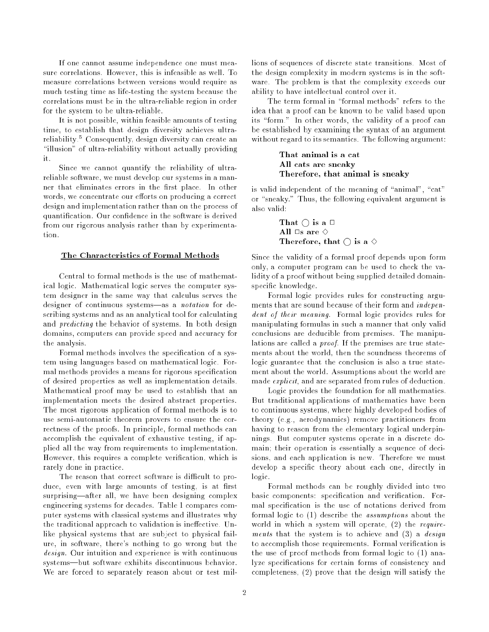If one cannot assume independence one must measure correlations. However, this is infeasible as well. To measure correlations between versions would require as much testing time as life-testing the system because the correlations must be in the ultra-reliable region in order for the system to be ultra-reliable.

It is not possible, within feasible amounts of testing time, to establish that design diversity achieves ultrareliability. Consequently, design diversity can create an "illusion" of ultra-reliability without actually providing it.

Since we cannot quantify the reliability of ultrareliable software, we must develop our systems in a manner that eliminates errors in the first place. In other words, we concentrate our efforts on producing a correct design and implementation rather than on the process of quantication. Our condence in the software is derived from our rigorous analysis rather than by experimentation.

# The Characteristics of Formal Methods

Central to formal methods is the use of mathematical logic. Mathematical logic serves the computer system designer in the same way that calculus serves the designer of continuous systems—as a *notation* for describing systems and as an analytical tool for calculating and predicting the behavior of systems. In both design domains, computers can provide speed and accuracy for the analysis.

Formal methods involves the specification of a system using languages based on mathematical logic. Formal methods provides a means for rigorous specification of desired properties as well as implementation details. Mathematical proof may be used to establish that an implementation meets the desired abstract properties. The most rigorous application of formal methods is to use semi-automatic theorem provers to ensure the correctness of the proofs. In principle, formal methods can accomplish the equivalent of exhaustive testing, if applied all the way from requirements to implementation. However, this requires a complete verification, which is rarely done in practice.

The reason that correct software is difficult to produce, even with large amounts of testing, is at first surprising-after all, we have been designing complex engineering systems for decades. Table 1 compares computer systems with classical systems and illustrates why the traditional approach to validation is ineffective. Unlike physical systems that are subject to physical failure, in software, there's nothing to go wrong but the design. Our intuition and experience is with continuous systems—but software exhibits discontinuous behavior. We are forced to separately reason about or test millions of sequences of discrete state transitions. Most of the design complexity in modern systems is in the software. The problem is that the complexity exceeds our ability to have intellectual control over it.

The term formal in "formal methods" refers to the idea that a proof can be known to be valid based upon its "form." In other words, the validity of a proof can be established by examining the syntax of an argument without regard to its semantics. The following argument:

> That animal is a cat All cats are sneaky Therefore, that animal is sneaky

is valid independent of the meaning of "animal", "cat" or "sneaky." Thus, the following equivalent argument is also valid:

> That  $\bigcirc$  is a  $\Box$ All  $\Box$ s are  $\diamondsuit$ Therefore, that  $\bigcirc$  is a  $\diamond$

Since the validity of a formal proof depends upon form only, a computer program can be used to check the validity of a proof without being supplied detailed domainspecic knowledge.

Formal logic provides rules for constructing arguments that are sound because of their form and *indepen*dent of their meaning. Formal logic provides rules for manipulating formulas in such a manner that only valid conclusions are deducible from premises. The manipulations are called a proof. If the premises are true statements about the world, then the soundness theorems of logic guarantee that the conclusion is also a true statement about the world. Assumptions about the world are made explicit, and are separated from rules of deduction.

Logic provides the foundation for all mathematics. But traditional applications of mathematics have been to continuous systems, where highly developed bodies of theory (e.g., aerodynamics) remove practitioners from having to reason from the elementary logical underpinnings. But computer systems operate in a discrete domain; their operation is essentially a sequence of decisions, and each application is new. Therefore we must develop a specic theory about each one, directly in logic.

Formal methods can be roughly divided into two basic components: specification and verification. Formal specication is the use of notations derived from formal logic to (1) describe the assumptions about the world in which a system will operate, (2) the requirements that the system is to achieve and (3) a *design* to accomplish those requirements. Formal verification is the use of proof methods from formal logic to (1) analyze specications for certain forms of consistency and completeness, (2) prove that the design will satisfy the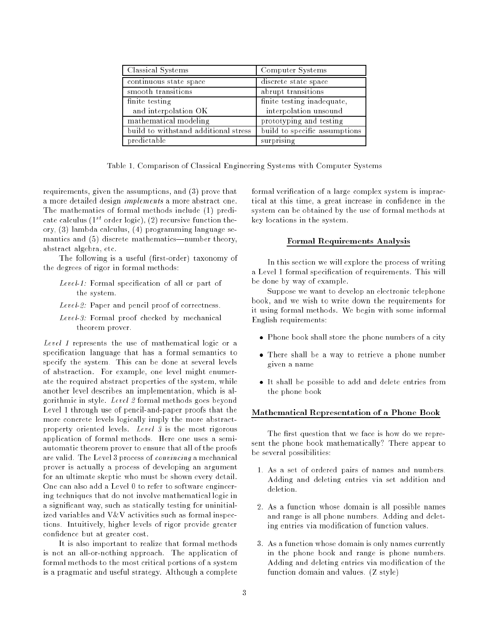| Classical Systems                    | Computer Systems              |
|--------------------------------------|-------------------------------|
| continuous state space               | discrete state space          |
| smooth transitions                   | abrupt transitions            |
| finite testing                       | finite testing inadequate,    |
| and interpolation OK                 | interpolation unsound         |
| mathematical modeling                | prototyping and testing       |
| build to withstand additional stress | build to specific assumptions |
| predictable                          | surprising                    |

Table 1. Comparison of Classical Engineering Systems with Computer Systems

requirements, given the assumptions, and (3) prove that a more detailed design implements a more abstract one. The mathematics of formal methods include (1) predicate calculus ( $1^{st}$  order logic), (2) recursive function theory, (3) lambda calculus, (4) programming language semantics and  $(5)$  discrete mathematics—number theory, abstract algebra, etc.

The following is a useful (first-order) taxonomy of the degrees of rigor in formal methods:

- Level-1: Formal specification of all or part of the system.
- Level-2: Paper and pencil proof of correctness.
- Level-3: Formal proof checked by mechanical theorem prover.

Level 1 represents the use of mathematical logic or a specification language that has a formal semantics to specify the system. This can be done at several levels of abstraction. For example, one level might enumerate the required abstract properties of the system, while another level describes an implementation, which is algorithmic in style. Level 2 formal methods goes beyond Level 1 through use of pencil-and-paper proofs that the more concrete levels logically imply the more abstractproperty oriented levels. Level 3 is the most rigorous application of formal methods. Here one uses a semiautomatic theorem prover to ensure that all of the proofs are valid. The Level 3 process of convincing a mechanical prover is actually a process of developing an argument for an ultimate skeptic who must be shown every detail. One can also add a Level 0 to refer to software engineering techniques that do not involve mathematical logic in a signicant way, such as statically testing for uninitialized variables and V&V activities such as formal inspections. Intuitively, higher levels of rigor provide greater condence but at greater cost.

It is also important to realize that formal methods is not an all-or-nothing approach. The application of formal methods to the most critical portions of a system is a pragmatic and useful strategy. Although a complete formal verification of a large complex system is impractical at this time, a great increase in condence in the system can be obtained by the use of formal methods at key locations in the system.

# Formal Requirements Analysis

In this section we will explore the process of writing a Level 1 formal specication of requirements. This will be done by way of example.

Suppose we want to develop an electronic telephone book, and we wish to write down the requirements for it using formal methods. We begin with some informal English requirements:

- Phone book shall store the phone numbers of a city
- There shall be a way to retrieve a phone number given a name
- It shall be possible to add and delete entries from the phone book

## Mathematical Representation of a Phone Book

The first question that we face is how do we represent the phone book mathematically? There appear to be several possibilities:

- 1. As a set of ordered pairs of names and numbers. Adding and deleting entries via set addition and deletion.
- 2. As a function whose domain is all possible names and range is all phone numbers. Adding and deleting entries via modication of function values.
- 3. As a function whose domain is only names currently in the phone book and range is phone numbers. Adding and deleting entries via modication of the function domain and values. (Z style)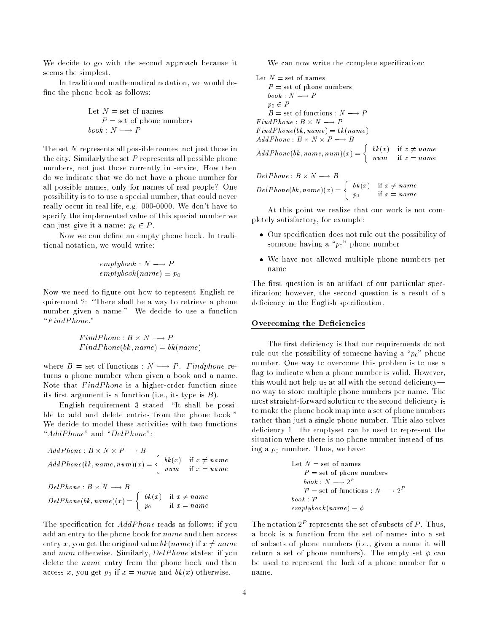We decide to go with the second approach because it seems the simplest.

In traditional mathematical notation, we would de fine the phone book as follows:

Let 
$$
N =
$$
 set of names  
\n $P =$  set of phone numbers  
\n $book : N \longrightarrow P$ 

The set N represents all possible names, not just those in the city. Similarly the set  $P$  represents all possible phone numbers, not just those currently in service. How then do we indicate that we do not have a phone number for all possible names, only for names of real people? One possibility is to to use a special number, that could never really occur in real life, e.g. 000-0000. We don't have to specify the implemented value of this special number we can just give it a name:  $p_0 \in P$ .

Now we can define an empty phone book. In traditional notation, we would write:

$$
empty book : N \longrightarrow P
$$

$$
empty book(name) \equiv p_0
$$

Now we need to figure out how to represent English requirement 2: "There shall be a way to retrieve a phone number given a name." We decide to use a function  $"FindPhone."$ 

 $FindPhone(bk, name) = bk(name)$ 

where  $B =$  set of functions :  $N \longrightarrow P$ . Findphone returns a phone number when given a book and a name. Note that FindPhone is a higher-order function since its first argument is a function (i.e., its type is  $B$ ).

English requirement  $3$  stated, "It shall be possible to add and delete entries from the phone book." We decide to model these activities with two functions " $AddPhone$ " and " $DelPhone$ ":

$$
AddPhone : B \times N \times P \longrightarrow B
$$
  
AddPhone(bk, name, num)(x) = 
$$
\begin{cases} bk(x) & \text{if } x \neq name \\ num & \text{if } x = name \end{cases}
$$
  
DelPhone : B \times N \longrightarrow B  
DelPhone(bk, name)(x) = 
$$
\begin{cases} bk(x) & \text{if } x \neq name \\ p_0 & \text{if } x = name \end{cases}
$$

The specification for *AddPhone* reads as follows: if you add an entry to the phone book for *name* and then access entry x, you get the original value  $bk(name)$  if  $x \neq name$ and num otherwise. Similarly, DelPhone states: if you delete the *name* entry from the phone book and then access x, you get  $p_0$  if  $x = name$  and  $bk(x)$  otherwise.

We can now write the complete specification:

Let 
$$
N =
$$
 set of names  
\n $P =$  set of phone numbers  
\n $book : N \longrightarrow P$   
\n $po \in P$   
\n $B =$  set of functions :  $N \longrightarrow P$   
\n $FindPhone : B \times N \longrightarrow P$   
\n $FindPhone(bk, name) = bk(name)$   
\n $AddPhone : B \times N \times P \longrightarrow B$   
\n $AddPhone(bk, name, num)(x) = \begin{cases} bk(x) & \text{if } x \neq name \\ num & \text{if } x = name \end{cases}$   
\n $DelPhone : B \times N \longrightarrow B$   
\n $DelPhone(bk, name)(x) = \begin{cases} bk(x) & \text{if } x \neq name \\ p_0 & \text{if } x = name \end{cases}$   
\nAt this point we realize that our work is not cor

At this point we realize that our work is not completely satisfactory, for example:

- Our specication does not rule out the possibility of someone having a " $p_0$ " phone number
- We have not allowed multiple phone numbers per name

The first question is an artifact of our particular specification; however, the second question is a result of a deficiency in the English specification.

## Overcoming the Deficiencies

The first deficiency is that our requirements do not rule out the possibility of someone having a " $p_0$ " phone number. One way to overcome this problem is to use a flag to indicate when a phone number is valid. However, this would not help us at all with the second deficiencyno way to store multiple phone numbers per name. The most straight-forward solution to the second deficiency is to make the phone book map into a set of phone numbers rather than just a single phone number. This also solves deficiency  $1$ —the emptyset can be used to represent the situation where there is no phone number instead of using a  $p_0$  number. Thus, we have:

Let 
$$
N =
$$
 set of names  
\n $P =$  set of phone numbers  
\n $book : N \longrightarrow 2^P$   
\n $P =$  set of functions :  $N \longrightarrow 2^P$   
\n $book : P$   
\n $empty book(name) \equiv \phi$ 

The notation  $2^{\circ}$  represents the set of subsets of P. Thus, a book is a function from the set of names into a set of subsets of phone numbers (i.e., given a name it will return a set of phone numbers). The empty set  $\phi$  can be used to represent the lack of a phone number for a name.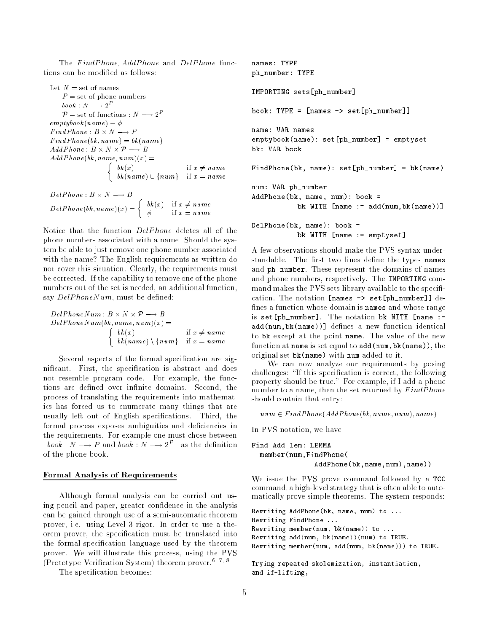The FindPhone, AddPhone and DelPhone functions can be modified as follows:

```
Let N = set of names
       P = set of phone numbers
        book: N \longrightarrow 2^-P = set of functions : N \longrightarrow 2^+emptybook(name) \equiv \phiFindPhone(bk, name) = bk(name)AddP hone(bk; name; num
)(x) =
                                       \overline{\phantom{a}}bk(x) if \alpha for \alpha for \alpha for \alpha for \alpha for \alpha for \alpha for \alpha for \alpha for \alpha for \alpha for \alpha for \alpha for \alpha for \alpha for \alpha for \alpha for \alpha for \alpha for \alpha for \alpha for \alpha for \alpha for \alpha f
                                             bk (name) is not made if \alpha if \alpha if \alpha
```

```
DelPhone(bk, name)(x) = \begin{cases} bk(x) & \text{if } x \neq name \end{cases}\overline{ } \overline{ } \overline{ } \overline{ } \overline{ } \overline{ } \overline{ } \overline{ } \overline{ } \overline{ } \overline{ } \overline{ } \overline{ } \overline{ } \overline{ } \overline{ } \overline{ } \overline{ } \overline{ } \overline{ } \overline{ } \overline{ } \overline{ } \overline{ } \overline{ } \overline{ } \overline{ } \overline{
```
Notice that the function DelPhone deletes all of the phone numbers associated with a name. Should the system be able to just remove one phone number associated with the name? The English requirements as written do not cover this situation. Clearly, the requirements must be corrected. If the capability to remove one of the phone numbers out of the set is needed, an additional function, say  $DelPhoneNum$ , must be defined:

DelP honeN um : B - N - P ! B  $DelPhoneNum(bk, name, num)(x) =$  $\overline{\phantom{a}}$ bk(x) if  $\alpha$  fixed in the formulation of  $\alpha$  fixed in the formulation of  $\alpha$ bk(name) n fnumg if x <sup>=</sup> name

Several aspects of the formal specification are significant. First, the specification is abstract and does not resemble program code. For example, the functions are defined over infinite domains. Second, the process of translating the requirements into mathematics has forced us to enumerate many things that are usually left out of English specifications. Third, the formal process exposes ambiguities and deficiencies in the requirements. For example one must chose between  $\theta$ ook : iv  $\longrightarrow$  P and  $\theta$ ook : iv  $\longrightarrow$  2 as the definition of the phone book.

#### Formal Analysis of Requirements

Although formal analysis can be carried out using pencil and paper, greater condence in the analysis can be gained through use of a semi-automatic theorem prover, i.e. using Level 3 rigor. In order to use a theorem prover, the specification must be translated into the formal specication language used by the theorem prover. We will illustrate this process, using the PVS (Prototype Verification System) theorem prover.<sup>6, 7, 8</sup>

The specification becomes:

```
names: TYPE
ph_number: TYPE
IMPORTING sets[ph_number]
book: TYPE = [names \rightarrow set[ph_number]]name: VAR names
emptybook(name): set[ph_number] = emptyset
bk: VAR book
FindPhone(bk, name): set[ph_number] = bk(name)
num: VAR ph_number
AddPhone(bk, name, num): book =
           bk WITH [name := add(num,bk(name))]
DelPhone(bk, name): book =
```
A few observations should make the PVS syntax understandable. The first two lines define the types names and ph\_number. These represent the domains of names and phone numbers, respectively. The IMPORTING command makes the PVS sets library available to the specification. The notation [names -> set[ph\_number]] de fines a function whose domain is names and whose range is set[ph\_number]. The notation bk WITH [name := add(num, bk(name))] defines a new function identical to bk except at the point name. The value of the new function at name is set equal to add(num,bk(name)), the original set bk(name) with num added to it.

bk WITH [name := emptyset]

We can now analyze our requirements by posing challenges: "If this specification is correct, the following property should be true." For example, if I add a phone number to a name, then the set returned by  $FindPhone$ should contain that entry:

 $num \in FindPhone(AddPhone(bk, name, num), name)$ 

In PVS notation, we have

```
Find_Add_lem: LEMMA
  member(num,FindPhone(
               AddPhone(bk,name,num),name))
```
We issue the PVS prove command followed by a TCC command, a high-level strategy that is often able to automatically prove simple theorems. The system responds:

```
Rewriting AddPhone(bk, name, num) to ...
Rewriting FindPhone ...
Rewriting member(num, bk(name)) to ...
Rewriting add(num, bk(name))(num) to TRUE.
Rewriting member(num, add(num, bk(name))) to TRUE.
```

```
Trying repeated skolemization, instantiation,
and if-lifting,
```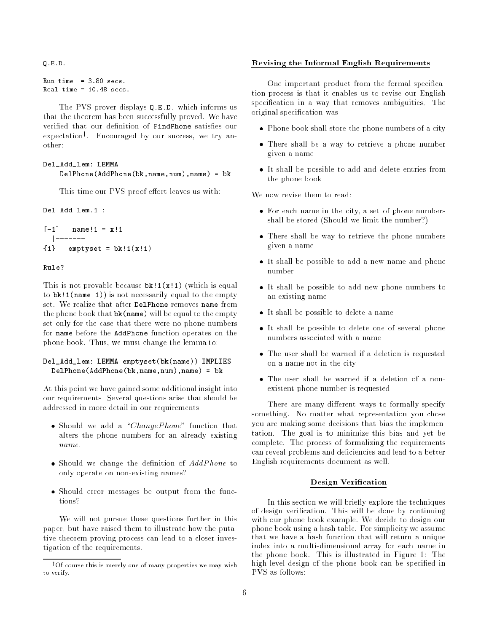Q.E.D.

```
Run time = 3.80 secs.
```
The PVS prover displays Q.E.D. which informs us that the theorem has been successfully proved. We have verified that our definition of FindPhone satisfies our expectationy . Encouraged by our success, we try another:

## Del\_Add\_lem: LEMMA

```
DelPhone(AddPhone(bk,name,num),name) = bk
```
This time our PVS proof effort leaves us with:

Del\_Add\_lem.1 :

```
[-1] name!1 = x!1|-------
{1} emptyset = bk!1(x!1)
```
## Rule?

This is not provable because  $bk!1(x!1)$  (which is equal to  $bk!1(name!1)$  is not necessarily equal to the empty set. We realize that after DelPhone removes name from the phone book that bk(name) will be equal to the empty set only for the case that there were no phone numbers for name before the AddPhone function operates on the phone book. Thus, we must change the lemma to:

# Del\_Add\_lem: LEMMA emptyset(bk(name)) IMPLIES DelPhone(AddPhone(bk,name,num),name) <sup>=</sup> bk

At this point we have gained some additional insight into our requirements. Several questions arise that should be addressed in more detail in our requirements:

- $\bullet$  Should we add a "ChangePhone" function that alters the phone numbers for an already existing name.
- Should we change the definition of AddPhone to only operate on non-existing names?
- Should error messages be output from the functions?

We will not pursue these questions further in this paper, but have raised them to illustrate how the putative theorem proving process can lead to a closer investigation of the requirements.

# Revising the Informal English Requirements

One important product from the formal specification process is that it enables us to revise our English specification in a way that removes ambiguities. The original specication was

- Phone book shall store the phone numbers of a city
- There shall be a way to retrieve a phone number given a name
- It shall be possible to add and delete entries from the phone book

We now revise them to read:

- For each name in the city, a set of phone numbers shall be stored (Should we limit the number?)
- There shall be way to retrieve the phone numbers given a name
- It shall be possible to add a new name and phone
- It shall be possible to add new phone numbers to an existing name
- It shall be possible to delete a name
- It shall be possible to delete one of several phone numbers associated with a name
- The user shall be warned if a deletion is requested on a name not in the city
- The user shall be warned if a deletion of a nonexistent phone number is requested

There are many different ways to formally specify something. No matter what representation you chose you are making some decisions that bias the implementation. The goal is to minimize this bias and yet be complete. The process of formalizing the requirements can reveal problems and deficiencies and lead to a better English requirements document as well.

## Design Verification

In this section we will briefly explore the techniques of design verication. This will be done by continuing with our phone book example. We decide to design our phone book using a hash table. For simplicity we assume that we have a hash function that will return a unique index into a multi-dimensional array for each name in the phone book. This is illustrated in Figure 1: The high-level design of the phone book can be specified in

<sup>&</sup>lt;sup>†</sup>Of course this is merely one of many properties we may wish to verify.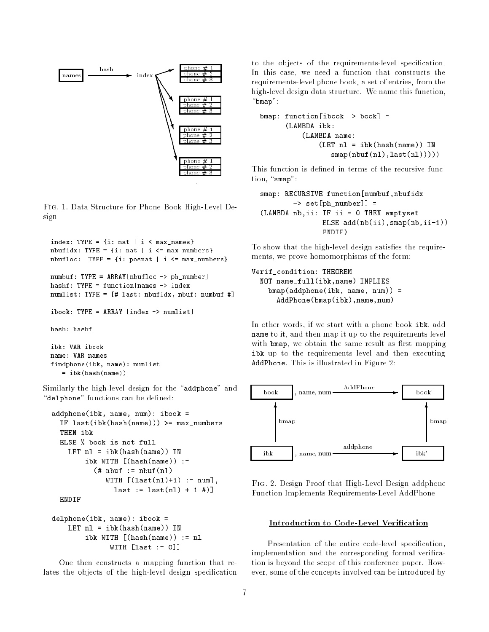

Fig. 1. Data Structure for Phone Book High-Level Design

```
index: TYPE = \{i: \text{nat } | i \leq \text{max\_names}\}nbufidx: TYPE = \{i: nat \mid i \leq max_numbers\}nbufloc: TYPE = \{i: posnat \mid i \leq max_numbers\}numbuf: TYPE = ARRAY[nbufloc -> ph_number]
hashf: TYPE = function[names -> index]
numlist: TYPE = [# last: nbufidx, nbuf: numbuf #]
ibook: TYPE = ARRAY [index -> numlist]
hash: hashf
ibk: VAR ibook
```
 $=$  ibk(hash(name)) Similarly the high-level design for the "addphone" and "delphone" functions can be defined:

name: VAR names

findphone(ibk, name): numlist

```
addphone(ibk, name, num): ibook =
  IF last(ibk(hash(name))) >= max_numbers
  THEN ibk
  ELSE % book is not full
    LET nl = ibk(hash(name)) IN
         ibk WITH [(\text{hash}(\text{name})) :=(\# \nhbox{huf} := \nhbox{huf}(\nl))WITH [(\text{last}(n1)+1) := \text{num}],last := last(n1) + 1  #)]ENDIF
```

```
delphone(ibk, name): ibook =
    LET nl = ibk(hash(name)) IN
        ibk WITH \lceil(hash(name)) := nl
              WITH [last := 0]]
```
One then constructs a mapping function that relates the objects of the high-level design specification

to the objects of the requirements-level specification. In this case, we need a function that constructs the requirements-level phone book, a set of entries, from the high-level design data structure. We name this function,  $"bmap"$ :

```
bmap: function[ibook \rightarrow book] =
      (LAMBDA ibk:
           (LAMBDA name:
               (LET n1 = ibk(hash(name)) INsmap(nbuf(n1),last(n1))))
```
This function is defined in terms of the recursive function, "smap":

```
smap: RECURSIVE function[numbuf,nbufidx
        -> set[ph_number]] =
(LAMBDA nb,ii: IF ii = 0 THEN emptyset
               ELSE add(nb(ii),smap(nb,ii-1))
               ENDIF)
```
To show that the high-level design satisfies the requirements, we prove homomorphisms of the form:

```
Verif_condition: THEOREM
 NOT name_full(ibk,name) IMPLIES
    bmap(addphone(ibk, name, num)) =
      AddPhone(bmap(ibk),name,num)
```
In other words, if we start with a phone book ibk, add name to it, and then map it up to the requirements level with bmap, we obtain the same result as first mapping ibk up to the requirements level and then executing AddPhone. This is illustrated in Figure 2:



Fig. 2. Design Proof that High-Level Design addphone Function Implements Requirements-Level AddPhone

# Introduction to Code-Level Verification

Presentation of the entire code-level specification, implementation and the corresponding formal verification is beyond the scope of this conference paper. However, some of the concepts involved can be introduced by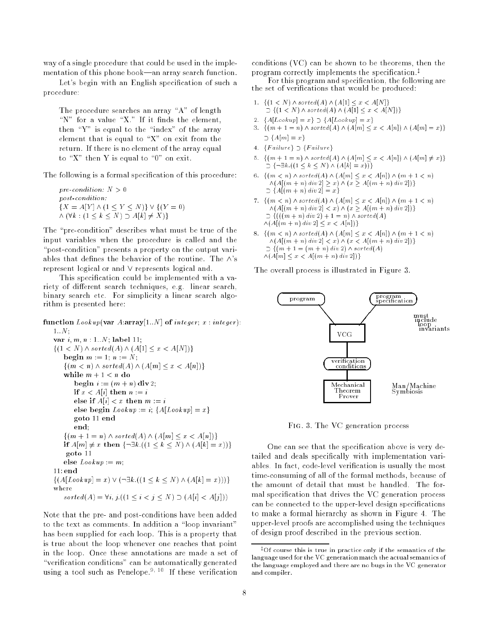way of a single procedure that could be used in the implementation of this phone book—an array search function.

Let's begin with an English specification of such a procedure:

The procedure searches an array "A" of length "N" for a value "X." If it finds the element, then " $Y$ " is equal to the "index" of the array element that is equal to " $X$ " on exit from the return. If there is no element of the array equal to "X" then Y is equal to "0" on exit.

The following is a formal specification of this procedure:

pre-condition:  $N > 0$ post-condition:  ${X = A[Y] \wedge (1 \le Y \le N)} \vee {(Y = 0)}$  $\cdots$  ,  $\cdots$  ,  $\cdots$   $\cdots$   $\cdots$   $\cdots$   $\cdots$   $\cdots$   $\cdots$   $\cdots$ 

The "pre-condition" describes what must be true of the input variables when the procedure is called and the "post-condition" presents a property on the output variables that defines the behavior of the routine. The  $\wedge$ 's represent logical or and  $\vee$  represents logical and.

This specication could be implemented with a variety of different search techniques, e.g. linear search, binary search etc. For simplicity a linear search algorithm is presented here:

function Lookup(var A:array[1::N] of integer; x : integer):  $1..N$ : var i; m; n : 1::N; label 11;  $\{(1 \lt N) \land sorted(A) \land (A[1] \leq x \lt A[N])\}$ begin m := 1; n := 1; n := 1; n := 1; n := 1; n := 1; n := 1; n := 1; n := 1; n := 1; n := 1; n := 1; n := 1;  $\{(m < n) \wedge sorted(A) \wedge (A[m] \leq x < A[n])\}$ 

 $\cdots$   $\cdots$   $\cdots$   $\cdots$ begin i := (m <sup>+</sup> n) div 2; if x < A[i] then n := i else if  $\mathbb{R}^n$  and  $\mathbb{R}^n$  if  $\mathbb{R}^n$  if  $\mathbb{R}^n$  if  $\mathbb{R}^n$  if  $\mathbb{R}^n$ else begin Lookup := i; fA[Lookup] = xg goto <sup>11</sup> end end;  $\{(m + 1 = n) \wedge sorted(A) \wedge (A[m] \leq x < A[n])\}$ if Almarchies and finite finite finite fields and the finite fields of the second second second second second goto <sup>11</sup> else Lookup := m; 11: end  $\{(A[Lookup] = x) \vee (\neg \exists k. ((1 \le k \le N) \wedge (A[k] = x)))\}$ where sorted(A) =  $\forall i, j. ((1 \leq i < j \leq N) \supset (A[i] < A[j]))$ 

Note that the pre- and post-conditions have been added to the text as comments. In addition a "loop invariant" has been supplied for each loop. This is a property that is true about the loop whenever one reaches that point in the loop. Once these annotations are made a set of "verification conditions" can be automatically generated using a tool such as Penelope.<sup>9, 10</sup> If these verification conditions (VC) can be shown to be theorems, then the program correctly implements the specification.<sup> $\ddagger$ </sup>

For this program and specication, the following are the set of verications that would be produced:

- 1.  $\{(1 \le N) \land sorted(A) \land (A[1] \le x \le A[N]\})$  $\supset \{(1 < N) \land sorted(A) \land (A[1] \leq x < A[N])\}$
- 2.  ${A[Lookup] = x} \supset {A[Lookup] = x}$
- 3.  $\{(m + 1 = n) \land sorted(A) \land (A[m] \leq x < A[n]) \land (A[m] = x)\}\$  $\supset \{A[m] = x\}$
- 4.  ${F_{a}}$ ilure $}$   $\sup$   ${F_{a}}$ ilure $}$
- 5.  $\{(m + 1 = n) \land sorted(A) \land (A[m] \leq x < A[n]) \land (A[m] \neq x)\}\$  $\supset \{\neg \exists k \cdot ((1 \leq k \leq N) \land (A[k] = x))\}$
- 6.  $\{(m < n) \land sorted(A) \land (A[m] \leq x < A[n]) \land (m+1 < n)$  $\wedge$ (A[(m + n) div 2]  $\geq x$ )  $\wedge$  (x  $\geq$  A[(m + n) div 2])}  $\supset$  {A[(m + n) div 2] = x}
- 7.  $\{(m < n) \land sorted(A) \land (A[m] \leq x < A[n]) \land (m + 1 < n)\}$  $\wedge$ (A[(m + n) div 2] < x)  $\wedge$  (x  $\geq$  A[(m + n) div 2])}  $\supset \{(((m+n)\,div\,2)+1=n)\wedge sorted(A)$  $\wedge$ (A[(m + n) div 2]  $\leq x < A[n]$ }
- 8.  $\{(m < n) \land sorted(A) \land (A[m] \leq x < A[n]) \land (m+1 < n)\}$  $\wedge (A[(m + n) \, div\, 2] \leq x) \wedge (x \leq A[(m + n) \, div\, 2])\}$  $\supset \{(m + 1 = (m + n) \text{ div } 2) \wedge \text{ sorted}(A)\}$  $\wedge$ (A[m]  $\leq x < A[(m + n) div 2])$ }

The overall process is illustrated in Figure 3.



Fig. 3. The VC generation process

One can see that the specification above is very detailed and deals specifically with implementation variables. In fact, code-level verification is usually the most time-consuming of all of the formal methods, because of the amount of detail that must be handled. The formal specication that drives the VC generation process can be connected to the upper-level design specications to make a formal hierarchy as shown in Figure 4. The upper-level proofs are accomplished using the techniques of design proof described in the previous section.

 $*$ Of course this is true in practice only if the semantics of the language used for the VC generation match the actual semantics of the language employed and there are no bugs in the VC generator and compiler.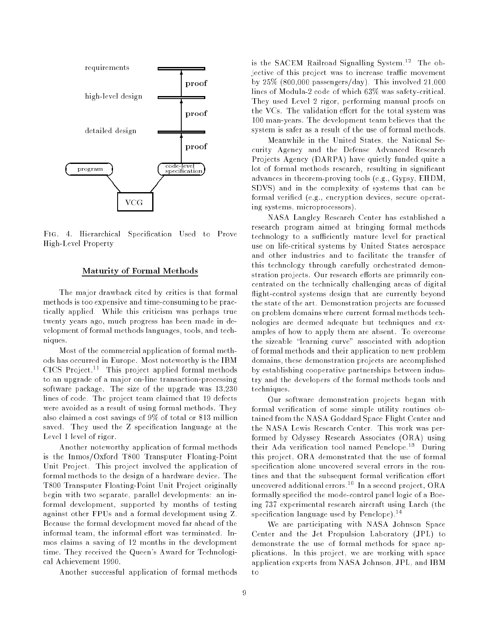

Fig. 4. Hierarchical Specication Used to Prove High-Level Property

## Maturity of Formal Methods

The major drawback cited by critics is that formal methods is too expensive and time-consuming to be practically applied. While this criticism was perhaps true twenty years ago, much progress has been made in development of formal methods languages, tools, and techniques.

Most of the commercial application of formal methods has occurred in Europe. Most noteworthy is the IBM CICS Project.<sup>11</sup> This project applied formal methods to an upgrade of a major on-line transaction-processing software package. The size of the upgrade was 13,230 lines of code. The project team claimed that 19 defects were avoided as a result of using formal methods. They also claimed a cost savings of 9% of total or \$13 million saved. They used the Z specification language at the Level 1 level of rigor.

Another noteworthy application of formal methods is the Inmos/Oxford T800 Transputer Floating-Point Unit Project. This project involved the application of formal methods to the design of a hardware device. The T800 Transputer Floating-Point Unit Project originally begin with two separate, parallel developments: an informal development, supported by months of testing against other FPUs and a formal development using Z. Because the formal development moved far ahead of the informal team, the informal effort was terminated. Inmos claims a saving of 12 months in the development time. They received the Queen's Award for Technological Achievement 1990.

Another successful application of formal methods

is the SACEM Railroad Signalling System.<sup>12</sup> The objective of this project was to increase traffic movement by 25% (800,000 passengers/day). This involved 21,000 lines of Modula-2 code of which 63% was safety-critical. They used Level 2 rigor, performing manual proofs on the VCs. The validation effort for the total system was 100 man-years. The development team believes that the system is safer as a result of the use of formal methods.

Meanwhile in the United States, the National Security Agency and the Defense Advanced Research Projects Agency (DARPA) have quietly funded quite a lot of formal methods research, resulting in significant advances in theorem-proving tools (e.g., Gypsy, EHDM, SDVS) and in the complexity of systems that can be formal verified (e.g., encryption devices, secure operating systems, microprocessors).

NASA Langley Research Center has established a research program aimed at bringing formal methods technology to a sufficiently mature level for practical use on life-critical systems by United States aerospace and other industries and to facilitate the transfer of this technology through carefully orchestrated demonstration projects. Our research efforts are primarily concentrated on the technically challenging areas of digital flight-control systems design that are currently beyond the state of the art. Demonstration projects are focussed on problem domains where current formal methods technologies are deemed adequate but techniques and examples of how to apply them are absent. To overcome the sizeable "learning curve" associated with adoption of formal methods and their application to new problem domains, these demonstration projects are accomplished by establishing cooperative partnerships between industry and the developers of the formal methods tools and techniques.

Our software demonstration projects began with formal verification of some simple utility routines obtained from the NASA Goddard Space Flight Center and the NASA Lewis Research Center. This work was performed by Odyssey Research Associates (ORA) using their Ada verification tool named Penelope.<sup>13</sup> During this project, ORA demonstrated that the use of formal specification alone uncovered several errors in the routines and that the subsequent formal verification effort uncovered additional errors.<sup>10</sup> In a second project, ORA formally specied the mode-control panel logic of a Boeing 737 experimental research aircraft using Larch (the specification language used by Penelope).<sup>14</sup>

We are participating with NASA Johnson Space Center and the Jet Propulsion Laboratory (JPL) to demonstrate the use of formal methods for space applications. In this project, we are working with space application experts from NASA Johnson, JPL, and IBM to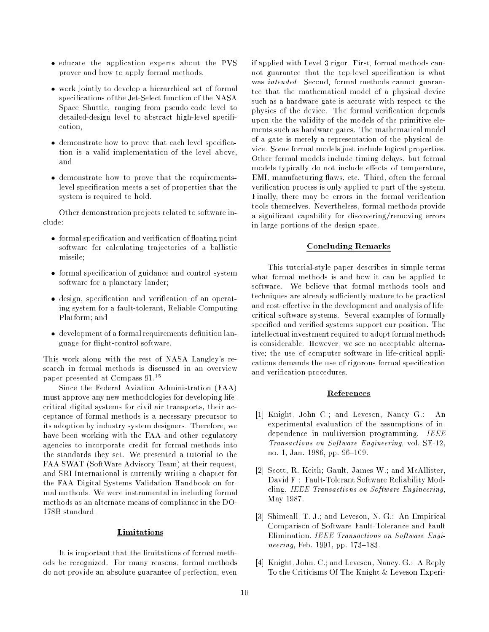- educate the application experts about the PVS prover and how to apply formal methods,
- work jointly to develop a hierarchical set of formal specifications of the Jet-Select function of the NASA Space Shuttle, ranging from pseudo-code level to detailed-design level to abstract high-level specification,
- demonstrate how to prove that each level specification is a valid implementation of the level above, and
- demonstrate how to prove that the requirementslevel specication meets a set of properties that the system is required to hold.

Other demonstration projects related to software include:

- formal specification and verification of floating point software for calculating trajectories of a ballistic missile;
- formal specication of guidance and control system software for a planetary lander;
- $\bullet$  design, specification and verification of an operating system for a fault-tolerant, Reliable Computing Platform; and
- $\bullet$  development of a formal requirements definition language for flight-control software.

This work along with the rest of NASA Langley's research in formal methods is discussed in an overview paper presented at Compass 91.<sup>15</sup>

Since the Federal Aviation Administration (FAA) must approve any new methodologies for developing lifecritical digital systems for civil air transports, their acceptance of formal methods is a necessary precursor to its adoption by industry system designers. Therefore, we have been working with the FAA and other regulatory agencies to incorporate credit for formal methods into the standards they set. We presented a tutorial to the FAA SWAT (SoftWare Advisory Team) at their request, and SRI International is currently writing a chapter for the FAA Digital Systems Validation Handbook on formal methods. We were instrumental in including formal methods as an alternate means of compliance in the DO-

# Limitations

It is important that the limitations of formal methods be recognized. For many reasons, formal methods do not provide an absolute guarantee of perfection, even

if applied with Level 3 rigor. First, formal methods cannot guarantee that the top-level specification is what was intended. Second, formal methods cannot guarantee that the mathematical model of a physical device such as a hardware gate is accurate with respect to the physics of the device. The formal verication depends upon the the validity of the models of the primitive elements such as hardware gates. The mathematical model of a gate is merely a representation of the physical device. Some formal models just include logical properties. Other formal models include timing delays, but formal models typically do not include effects of temperature, EMI, manufacturing flaws, etc. Third, often the formal verification process is only applied to part of the system. Finally, there may be errors in the formal verification tools themselves. Nevertheless, formal methods provide a signicant capability for discovering/removing errors in large portions of the design space.

# Concluding Remarks

This tutorial-style paper describes in simple terms what formal methods is and how it can be applied to software. We believe that formal methods tools and techniques are already sufficiently mature to be practical and cost-effective in the development and analysis of lifecritical software systems. Several examples of formally specified and verified systems support our position. The intellectual investment required to adopt formal methods is considerable. However, we see no acceptable alternative; the use of computer software in life-critical applications demands the use of rigorous formal specication and verification procedures.

## References

- [1] Knight, John C.; and Leveson, Nancy G.: An experimental evaluation of the assumptions of independence in multiversion programming. IEEE Transactions on Software Engineering, vol. SE-12, no. 1, Jan. 1986, pp. 96-109.
- [2] Scott, R. Keith; Gault, James W.; and McAllister, David F.: Fault-Tolerant Software Reliability Modeling. IEEE Transactions on Software Engineering, May 1987.
- [3] Shimeall, T. J.; and Leveson, N. G.: An Empirical Comparison of Software Fault-Tolerance and Fault Elimination. IEEE Transactions on Software Engineering, Feb. 1991, pp. 173-183.
- [4] Knight, John. C.; and Leveson, Nancy. G.: A Reply To the Criticisms Of The Knight & Leveson Experi-